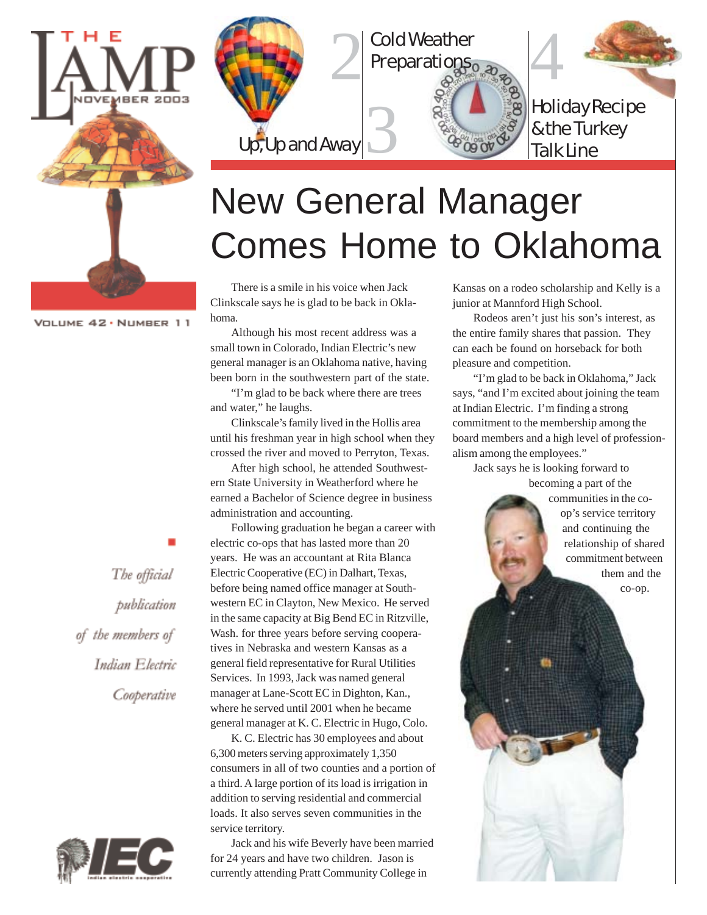

VOLUME 42 . NUMBER 11



Cold Weather Preparations<sub>o.30</sub>

3



Holiday Recipe & the Turkey Talk Line

# New General Manager Comes Home to Oklahoma

 $\frac{1}{2}$   $\frac{1}{2}$ 

There is a smile in his voice when Jack Clinkscale says he is glad to be back in Oklahoma.

Although his most recent address was a small town in Colorado, Indian Electric's new general manager is an Oklahoma native, having been born in the southwestern part of the state.

"I'm glad to be back where there are trees and water," he laughs.

Clinkscale's family lived in the Hollis area until his freshman year in high school when they crossed the river and moved to Perryton, Texas.

After high school, he attended Southwestern State University in Weatherford where he earned a Bachelor of Science degree in business administration and accounting.

Following graduation he began a career with electric co-ops that has lasted more than 20 years. He was an accountant at Rita Blanca Electric Cooperative (EC) in Dalhart, Texas, before being named office manager at Southwestern EC in Clayton, New Mexico. He served in the same capacity at Big Bend EC in Ritzville, Wash. for three years before serving cooperatives in Nebraska and western Kansas as a general field representative for Rural Utilities Services. In 1993, Jack was named general manager at Lane-Scott EC in Dighton, Kan., where he served until 2001 when he became general manager at K. C. Electric in Hugo, Colo.

K. C. Electric has 30 employees and about 6,300 meters serving approximately 1,350 consumers in all of two counties and a portion of a third. A large portion of its load is irrigation in addition to serving residential and commercial loads. It also serves seven communities in the service territory.

Jack and his wife Beverly have been married for 24 years and have two children. Jason is currently attending Pratt Community College in

Kansas on a rodeo scholarship and Kelly is a junior at Mannford High School.

Rodeos aren't just his son's interest, as the entire family shares that passion. They can each be found on horseback for both pleasure and competition.

"I'm glad to be back in Oklahoma," Jack says, "and I'm excited about joining the team at Indian Electric. I'm finding a strong commitment to the membership among the board members and a high level of professionalism among the employees."

Jack says he is looking forward to becoming a part of the

communities in the coop's service territory and continuing the relationship of shared commitment between them and the co-op.

The official publication of the members of Indian Electric Cooperative

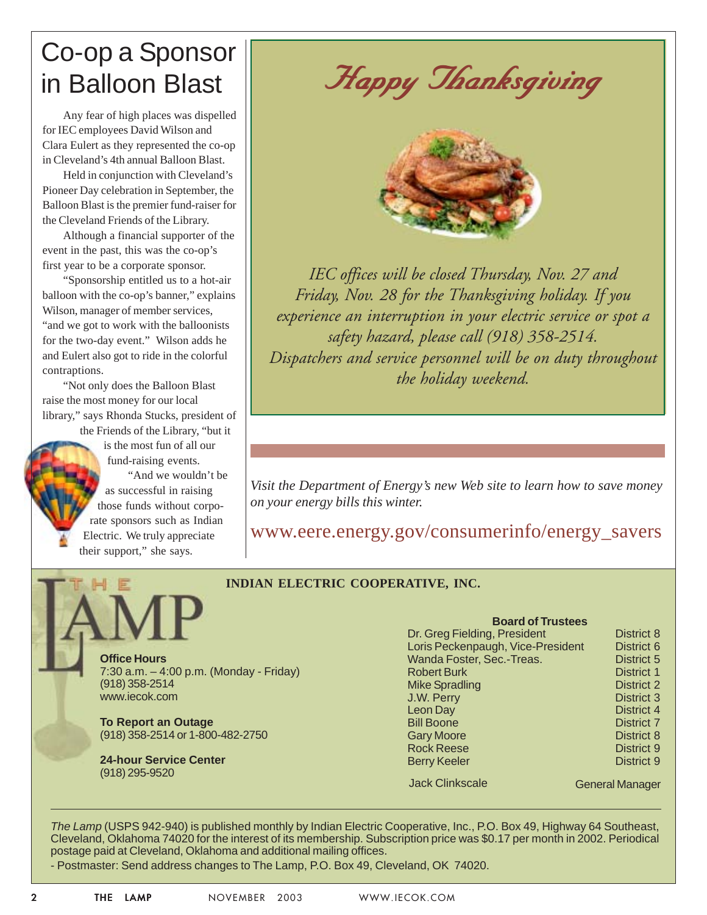## Co-op a Sponsor in Balloon Blast

Any fear of high places was dispelled for IEC employees David Wilson and Clara Eulert as they represented the co-op in Cleveland's 4th annual Balloon Blast.

Held in conjunction with Cleveland's Pioneer Day celebration in September, the Balloon Blast is the premier fund-raiser for the Cleveland Friends of the Library.

Although a financial supporter of the event in the past, this was the co-op's first year to be a corporate sponsor.

"Sponsorship entitled us to a hot-air balloon with the co-op's banner," explains Wilson, manager of member services, "and we got to work with the balloonists for the two-day event." Wilson adds he and Eulert also got to ride in the colorful contraptions.

"Not only does the Balloon Blast raise the most money for our local library," says Rhonda Stucks, president of the Friends of the Library, "but it

is the most fun of all our fund-raising events. "And we wouldn't be as successful in raising those funds without corporate sponsors such as Indian Electric. We truly appreciate their support," she says.





*IEC offices will be closed Thursday, Nov. 27 and Friday, Nov. 28 for the Thanksgiving holiday. If you experience an interruption in your electric service or spot a safety hazard, please call (918) 358-2514. Dispatchers and service personnel will be on duty throughout the holiday weekend.*

*Visit the Department of Energy's new Web site to learn how to save money on your energy bills this winter.*

www.eere.energy.gov/consumerinfo/energy\_savers

### **INDIAN ELECTRIC COOPERATIVE, INC.**

**Office Hours** 7:30 a.m. – 4:00 p.m. (Monday - Friday) (918) 358-2514 www.iecok.com

**To Report an Outage** (918) 358-2514 or 1-800-482-2750

**24-hour Service Center** (918) 295-9520

#### **Board of Trustees** Dr. Greg Fielding, President District 8 Loris Peckenpaugh, Vice-President District 6 Wanda Foster, Sec.-Treas. District 5 Robert Burk District 1 Mike Spradling District 2 **J.W. Perry District 3** Leon Day **District 4** Bill Boone District 7 Gary Moore **District 8** Rock Reese District 9 Berry Keeler **District 9**

Jack Clinkscale General Manager

*The Lamp* (USPS 942-940) is published monthly by Indian Electric Cooperative, Inc., P.O. Box 49, Highway 64 Southeast, Cleveland, Oklahoma 74020 for the interest of its membership. Subscription price was \$0.17 per month in 2002. Periodical postage paid at Cleveland, Oklahoma and additional mailing offices.

- Postmaster: Send address changes to The Lamp, P.O. Box 49, Cleveland, OK 74020.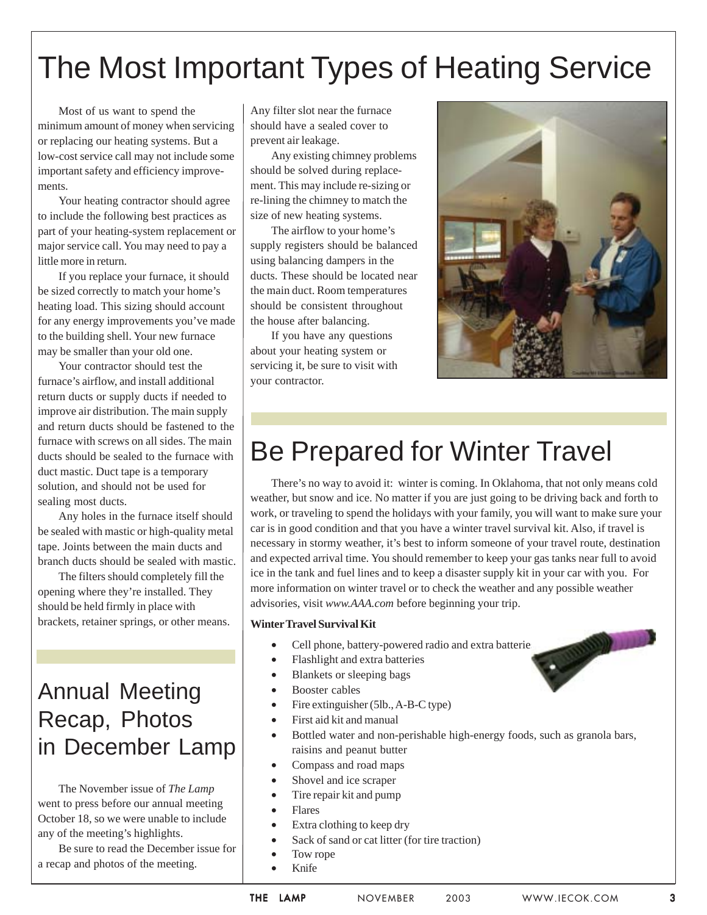## The Most Important Types of Heating Service

Most of us want to spend the minimum amount of money when servicing or replacing our heating systems. But a low-cost service call may not include some important safety and efficiency improvements.

Your heating contractor should agree to include the following best practices as part of your heating-system replacement or major service call. You may need to pay a little more in return.

If you replace your furnace, it should be sized correctly to match your home's heating load. This sizing should account for any energy improvements you've made to the building shell. Your new furnace may be smaller than your old one.

Your contractor should test the furnace's airflow, and install additional return ducts or supply ducts if needed to improve air distribution. The main supply and return ducts should be fastened to the furnace with screws on all sides. The main ducts should be sealed to the furnace with duct mastic. Duct tape is a temporary solution, and should not be used for sealing most ducts.

Any holes in the furnace itself should be sealed with mastic or high-quality metal tape. Joints between the main ducts and branch ducts should be sealed with mastic.

The filters should completely fill the opening where they're installed. They should be held firmly in place with brackets, retainer springs, or other means.

### Annual Meeting Recap, Photos in December Lamp

The November issue of *The Lamp* went to press before our annual meeting October 18, so we were unable to include any of the meeting's highlights.

Be sure to read the December issue for a recap and photos of the meeting.

Any filter slot near the furnace should have a sealed cover to prevent air leakage.

Any existing chimney problems should be solved during replacement. This may include re-sizing or re-lining the chimney to match the size of new heating systems.

The airflow to your home's supply registers should be balanced using balancing dampers in the ducts. These should be located near the main duct. Room temperatures should be consistent throughout the house after balancing.

If you have any questions about your heating system or servicing it, be sure to visit with your contractor.



## Be Prepared for Winter Travel

There's no way to avoid it: winter is coming. In Oklahoma, that not only means cold weather, but snow and ice. No matter if you are just going to be driving back and forth to work, or traveling to spend the holidays with your family, you will want to make sure your car is in good condition and that you have a winter travel survival kit. Also, if travel is necessary in stormy weather, it's best to inform someone of your travel route, destination and expected arrival time. You should remember to keep your gas tanks near full to avoid ice in the tank and fuel lines and to keep a disaster supply kit in your car with you. For more information on winter travel or to check the weather and any possible weather advisories, visit *www.AAA.com* before beginning your trip.

#### **Winter Travel Survival Kit**

- Cell phone, battery-powered radio and extra batterie
- Flashlight and extra batteries
- Blankets or sleeping bags
- Booster cables
- Fire extinguisher (5lb., A-B-C type)
- First aid kit and manual
- Bottled water and non-perishable high-energy foods, such as granola bars, raisins and peanut butter
- Compass and road maps
- Shovel and ice scraper
- Tire repair kit and pump
- Flares
- Extra clothing to keep dry
- Sack of sand or cat litter (for tire traction)
	- Tow rope
- Knife